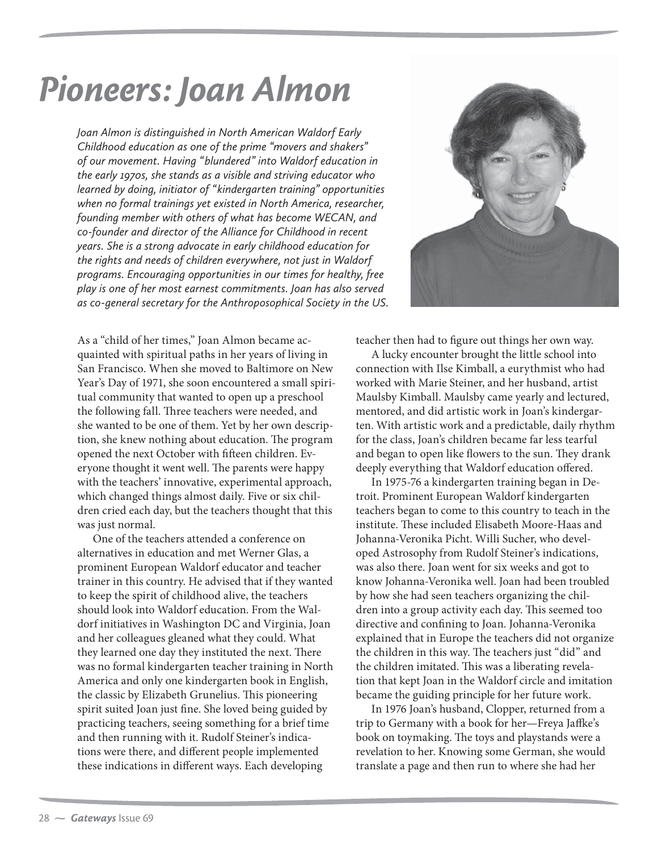## *Pioneers: Joan Almon*

*Joan Almon is distinguished in North American Waldorf Early Childhood education as one of the prime "movers and shakers" of our movement. Having "blundered" into Waldorf education in the early 1970s, she stands as a visible and striving educator who learned by doing, initiator of "kindergarten training" opportunities when no formal trainings yet existed in North America, researcher, founding member with others of what has become WECAN, and co-founder and director of the Alliance for Childhood in recent years. She is a strong advocate in early childhood education for the rights and needs of children everywhere, not just in Waldorf programs. Encouraging opportunities in our times for healthy, free play is one of her most earnest commitments. Joan has also served as co-general secretary for the Anthroposophical Society in the US.* 

As a "child of her times," Joan Almon became acquainted with spiritual paths in her years of living in San Francisco. When she moved to Baltimore on New Year's Day of 1971, she soon encountered a small spiritual community that wanted to open up a preschool the following fall. Three teachers were needed, and she wanted to be one of them. Yet by her own description, she knew nothing about education. The program opened the next October with fifteen children. Everyone thought it went well. The parents were happy with the teachers' innovative, experimental approach, which changed things almost daily. Five or six children cried each day, but the teachers thought that this was just normal.

One of the teachers attended a conference on alternatives in education and met Werner Glas, a prominent European Waldorf educator and teacher trainer in this country. He advised that if they wanted to keep the spirit of childhood alive, the teachers should look into Waldorf education. From the Waldorf initiatives in Washington DC and Virginia, Joan and her colleagues gleaned what they could. What they learned one day they instituted the next. There was no formal kindergarten teacher training in North America and only one kindergarten book in English, the classic by Elizabeth Grunelius. This pioneering spirit suited Joan just fine. She loved being guided by practicing teachers, seeing something for a brief time and then running with it. Rudolf Steiner's indications were there, and different people implemented these indications in different ways. Each developing



teacher then had to figure out things her own way.

A lucky encounter brought the little school into connection with Ilse Kimball, a eurythmist who had worked with Marie Steiner, and her husband, artist Maulsby Kimball. Maulsby came yearly and lectured, mentored, and did artistic work in Joan's kindergarten. With artistic work and a predictable, daily rhythm for the class, Joan's children became far less tearful and began to open like flowers to the sun. They drank deeply everything that Waldorf education offered.

In 1975-76 a kindergarten training began in Detroit. Prominent European Waldorf kindergarten teachers began to come to this country to teach in the institute. These included Elisabeth Moore-Haas and Johanna-Veronika Picht. Willi Sucher, who developed Astrosophy from Rudolf Steiner's indications, was also there. Joan went for six weeks and got to know Johanna-Veronika well. Joan had been troubled by how she had seen teachers organizing the children into a group activity each day. This seemed too directive and confining to Joan. Johanna-Veronika explained that in Europe the teachers did not organize the children in this way. The teachers just "did" and the children imitated. This was a liberating revelation that kept Joan in the Waldorf circle and imitation became the guiding principle for her future work.

In 1976 Joan's husband, Clopper, returned from a trip to Germany with a book for her—Freya Jaffke's book on toymaking. The toys and playstands were a revelation to her. Knowing some German, she would translate a page and then run to where she had her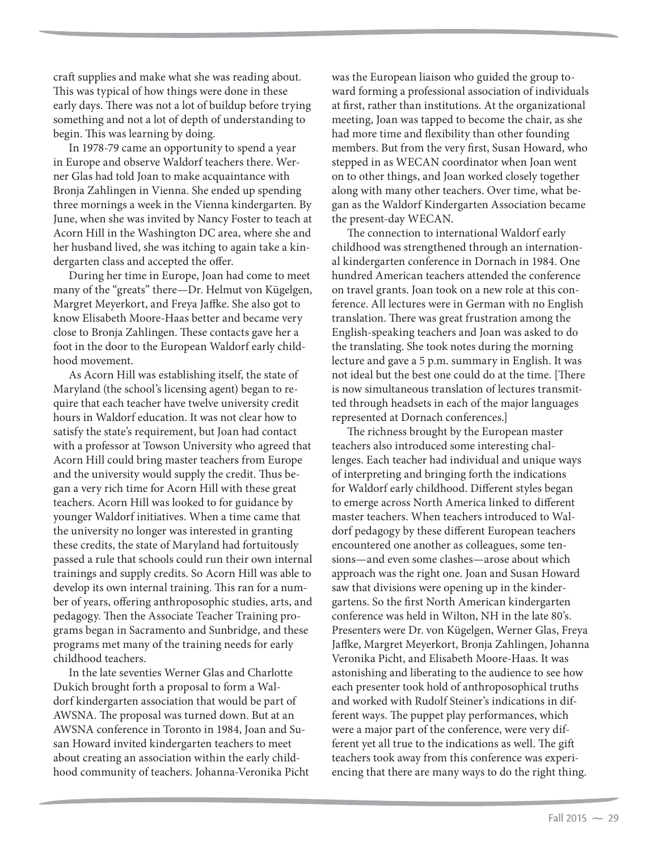craft supplies and make what she was reading about. This was typical of how things were done in these early days. There was not a lot of buildup before trying something and not a lot of depth of understanding to begin. This was learning by doing.

In 1978-79 came an opportunity to spend a year in Europe and observe Waldorf teachers there. Werner Glas had told Joan to make acquaintance with Bronja Zahlingen in Vienna. She ended up spending three mornings a week in the Vienna kindergarten. By June, when she was invited by Nancy Foster to teach at Acorn Hill in the Washington DC area, where she and her husband lived, she was itching to again take a kindergarten class and accepted the offer.

During her time in Europe, Joan had come to meet many of the "greats" there—Dr. Helmut von Kügelgen, Margret Meyerkort, and Freya Jaffke. She also got to know Elisabeth Moore-Haas better and became very close to Bronja Zahlingen. These contacts gave her a foot in the door to the European Waldorf early childhood movement.

As Acorn Hill was establishing itself, the state of Maryland (the school's licensing agent) began to require that each teacher have twelve university credit hours in Waldorf education. It was not clear how to satisfy the state's requirement, but Joan had contact with a professor at Towson University who agreed that Acorn Hill could bring master teachers from Europe and the university would supply the credit. Thus began a very rich time for Acorn Hill with these great teachers. Acorn Hill was looked to for guidance by younger Waldorf initiatives. When a time came that the university no longer was interested in granting these credits, the state of Maryland had fortuitously passed a rule that schools could run their own internal trainings and supply credits. So Acorn Hill was able to develop its own internal training. This ran for a number of years, offering anthroposophic studies, arts, and pedagogy. Then the Associate Teacher Training programs began in Sacramento and Sunbridge, and these programs met many of the training needs for early childhood teachers.

In the late seventies Werner Glas and Charlotte Dukich brought forth a proposal to form a Waldorf kindergarten association that would be part of AWSNA. The proposal was turned down. But at an AWSNA conference in Toronto in 1984, Joan and Susan Howard invited kindergarten teachers to meet about creating an association within the early childhood community of teachers. Johanna-Veronika Picht was the European liaison who guided the group toward forming a professional association of individuals at first, rather than institutions. At the organizational meeting, Joan was tapped to become the chair, as she had more time and flexibility than other founding members. But from the very first, Susan Howard, who stepped in as WECAN coordinator when Joan went on to other things, and Joan worked closely together along with many other teachers. Over time, what began as the Waldorf Kindergarten Association became the present-day WECAN.

The connection to international Waldorf early childhood was strengthened through an international kindergarten conference in Dornach in 1984. One hundred American teachers attended the conference on travel grants. Joan took on a new role at this conference. All lectures were in German with no English translation. There was great frustration among the English-speaking teachers and Joan was asked to do the translating. She took notes during the morning lecture and gave a 5 p.m. summary in English. It was not ideal but the best one could do at the time. [There is now simultaneous translation of lectures transmitted through headsets in each of the major languages represented at Dornach conferences.]

The richness brought by the European master teachers also introduced some interesting challenges. Each teacher had individual and unique ways of interpreting and bringing forth the indications for Waldorf early childhood. Different styles began to emerge across North America linked to different master teachers. When teachers introduced to Waldorf pedagogy by these different European teachers encountered one another as colleagues, some tensions—and even some clashes—arose about which approach was the right one. Joan and Susan Howard saw that divisions were opening up in the kindergartens. So the first North American kindergarten conference was held in Wilton, NH in the late 80's. Presenters were Dr. von Kügelgen, Werner Glas, Freya Jaffke, Margret Meyerkort, Bronja Zahlingen, Johanna Veronika Picht, and Elisabeth Moore-Haas. It was astonishing and liberating to the audience to see how each presenter took hold of anthroposophical truths and worked with Rudolf Steiner's indications in different ways. The puppet play performances, which were a major part of the conference, were very different yet all true to the indications as well. The gift teachers took away from this conference was experiencing that there are many ways to do the right thing.